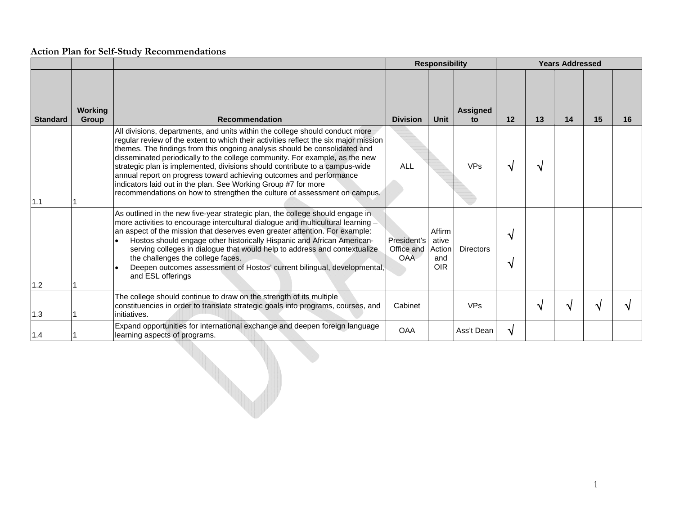|                 |                                |                                                                                                                                                                                                                                                                                                                                                                                                                                                                                                                                                                                                                                        |                                         | <b>Responsibility</b>                          |                       |           | <b>Years Addressed</b> |    |    |    |  |
|-----------------|--------------------------------|----------------------------------------------------------------------------------------------------------------------------------------------------------------------------------------------------------------------------------------------------------------------------------------------------------------------------------------------------------------------------------------------------------------------------------------------------------------------------------------------------------------------------------------------------------------------------------------------------------------------------------------|-----------------------------------------|------------------------------------------------|-----------------------|-----------|------------------------|----|----|----|--|
| <b>Standard</b> | <b>Working</b><br><b>Group</b> | <b>Recommendation</b>                                                                                                                                                                                                                                                                                                                                                                                                                                                                                                                                                                                                                  | <b>Division</b>                         | Unit                                           | <b>Assigned</b><br>to | 12        | 13                     | 14 | 15 | 16 |  |
| 1.1             |                                | All divisions, departments, and units within the college should conduct more<br>regular review of the extent to which their activities reflect the six major mission<br>themes. The findings from this ongoing analysis should be consolidated and<br>disseminated periodically to the college community. For example, as the new<br>strategic plan is implemented, divisions should contribute to a campus-wide<br>annual report on progress toward achieving outcomes and performance<br>indicators laid out in the plan. See Working Group #7 for more<br>recommendations on how to strengthen the culture of assessment on campus. | <b>ALL</b>                              |                                                | <b>VPs</b>            | ิ่ง       | N                      |    |    |    |  |
| 1.2             |                                | As outlined in the new five-year strategic plan, the college should engage in<br>more activities to encourage intercultural dialogue and multicultural learning -<br>an aspect of the mission that deserves even greater attention. For example:<br>Hostos should engage other historically Hispanic and African American-<br>serving colleges in dialogue that would help to address and contextualize<br>the challenges the college faces.<br>Deepen outcomes assessment of Hostos' current bilingual, developmental,<br>and ESL offerings                                                                                           | President's<br>Office and<br><b>OAA</b> | Affirm<br>ative<br>Action<br>and<br><b>OIR</b> | <b>Directors</b>      | ิ่ง<br>ึง |                        |    |    |    |  |
| 1.3             |                                | The college should continue to draw on the strength of its multiple<br>constituencies in order to translate strategic goals into programs, courses, and<br>initiatives.                                                                                                                                                                                                                                                                                                                                                                                                                                                                | Cabinet                                 |                                                | <b>VPs</b>            |           |                        | N  |    |    |  |
| 1.4             |                                | Expand opportunities for international exchange and deepen foreign language<br>learning aspects of programs.                                                                                                                                                                                                                                                                                                                                                                                                                                                                                                                           | <b>OAA</b>                              |                                                | Ass't Dean            | ึ่ง       |                        |    |    |    |  |

e de la catalunidad de la catalunidad de la catalunidad de la catalunidad de la catalunidad de la catalunidad de la catalunidad de la catalunidad de la catalunidad de la catalunidad de la catalunidad de la catalunidad de l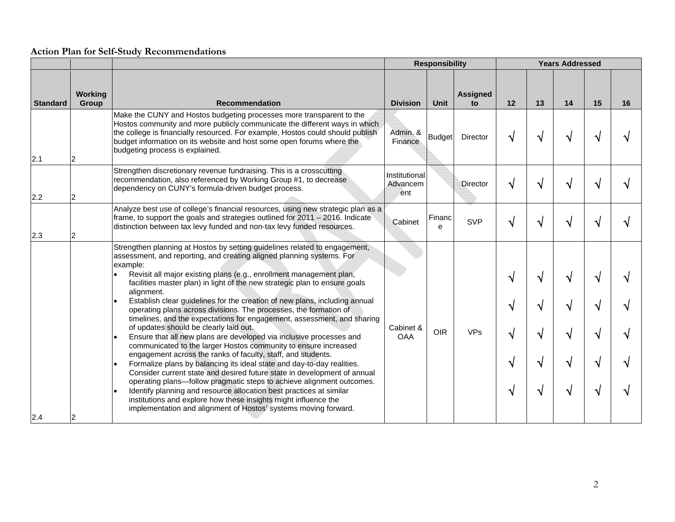|                 |                  |                                                                                                                                                                                                                                                                                                                                                                                                                                                                                                                                                                                                                                                                                                                                                                                                                                                                                                                                                                                                                                                                                                                                                                                                                                                                  | <b>Responsibility</b>            |               |                       |                  | <b>Years Addressed</b>  |                  |                  |    |  |
|-----------------|------------------|------------------------------------------------------------------------------------------------------------------------------------------------------------------------------------------------------------------------------------------------------------------------------------------------------------------------------------------------------------------------------------------------------------------------------------------------------------------------------------------------------------------------------------------------------------------------------------------------------------------------------------------------------------------------------------------------------------------------------------------------------------------------------------------------------------------------------------------------------------------------------------------------------------------------------------------------------------------------------------------------------------------------------------------------------------------------------------------------------------------------------------------------------------------------------------------------------------------------------------------------------------------|----------------------------------|---------------|-----------------------|------------------|-------------------------|------------------|------------------|----|--|
| <b>Standard</b> | Working<br>Group | <b>Recommendation</b>                                                                                                                                                                                                                                                                                                                                                                                                                                                                                                                                                                                                                                                                                                                                                                                                                                                                                                                                                                                                                                                                                                                                                                                                                                            | <b>Division</b>                  | Unit          | <b>Assigned</b><br>to | 12               | 13                      | 14               | 15               | 16 |  |
| 2.1             |                  | Make the CUNY and Hostos budgeting processes more transparent to the<br>Hostos community and more publicly communicate the different ways in which<br>the college is financially resourced. For example, Hostos could should publish<br>budget information on its website and host some open forums where the<br>budgeting process is explained.                                                                                                                                                                                                                                                                                                                                                                                                                                                                                                                                                                                                                                                                                                                                                                                                                                                                                                                 | Admin. &<br>Finance              | <b>Budget</b> | Director              | √                | √                       | V                | ٦I               |    |  |
| 2.2             |                  | Strengthen discretionary revenue fundraising. This is a crosscutting<br>recommendation, also referenced by Working Group #1, to decrease<br>dependency on CUNY's formula-driven budget process.                                                                                                                                                                                                                                                                                                                                                                                                                                                                                                                                                                                                                                                                                                                                                                                                                                                                                                                                                                                                                                                                  | Institutional<br>Advancem<br>ent |               | Director              | V                | N                       | √                |                  |    |  |
| 2.3             |                  | Analyze best use of college's financial resources, using new strategic plan as a<br>frame, to support the goals and strategies outlined for 2011 - 2016. Indicate<br>distinction between tax levy funded and non-tax levy funded resources.                                                                                                                                                                                                                                                                                                                                                                                                                                                                                                                                                                                                                                                                                                                                                                                                                                                                                                                                                                                                                      | Cabinet                          | Financ<br>e   | <b>SVP</b>            |                  | N                       | V                |                  |    |  |
| 2.4             |                  | Strengthen planning at Hostos by setting guidelines related to engagement,<br>assessment, and reporting, and creating aligned planning systems. For<br>example:<br>Revisit all major existing plans (e.g., enrollment management plan,<br>facilities master plan) in light of the new strategic plan to ensure goals<br>alignment.<br>Establish clear guidelines for the creation of new plans, including annual<br>operating plans across divisions. The processes, the formation of<br>timelines, and the expectations for engagement, assessment, and sharing<br>of updates should be clearly laid out.<br>Ensure that all new plans are developed via inclusive processes and<br>communicated to the larger Hostos community to ensure increased<br>engagement across the ranks of faculty, staff, and students.<br>Formalize plans by balancing its ideal state and day-to-day realities.<br>Consider current state and desired future state in development of annual<br>operating plans-follow pragmatic steps to achieve alignment outcomes.<br>Identify planning and resource allocation best practices at similar<br>institutions and explore how these insights might influence the<br>implementation and alignment of Hostos' systems moving forward. | Cabinet &<br><b>OAA</b>          | <b>OIR</b>    | <b>VPs</b>            | √<br>√<br>V<br>V | ิ่ง<br>√<br>V<br>V<br>N | √<br>√<br>√<br>√ | V<br>V<br>V<br>V |    |  |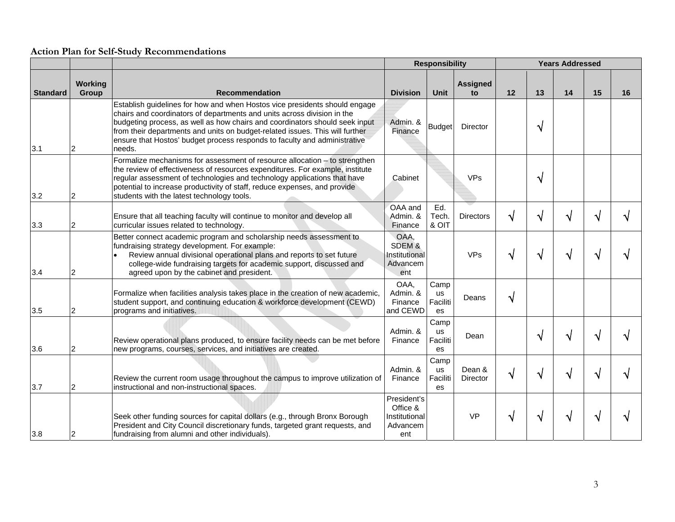|                 |                  |                                                                                                                                                                                                                                                                                                                                                                                                             | <b>Responsibility</b>                                       |                                     |                       |    | <b>Years Addressed</b> |    |    |    |
|-----------------|------------------|-------------------------------------------------------------------------------------------------------------------------------------------------------------------------------------------------------------------------------------------------------------------------------------------------------------------------------------------------------------------------------------------------------------|-------------------------------------------------------------|-------------------------------------|-----------------------|----|------------------------|----|----|----|
| <b>Standard</b> | Working<br>Group | <b>Recommendation</b>                                                                                                                                                                                                                                                                                                                                                                                       | <b>Division</b>                                             | <b>Unit</b>                         | <b>Assigned</b><br>to | 12 | 13                     | 14 | 15 | 16 |
| 3.1             |                  | Establish guidelines for how and when Hostos vice presidents should engage<br>chairs and coordinators of departments and units across division in the<br>budgeting process, as well as how chairs and coordinators should seek input<br>from their departments and units on budget-related issues. This will further<br>ensure that Hostos' budget process responds to faculty and administrative<br>needs. | Admin. &<br>Finance                                         | Budget                              | Director              |    | N                      |    |    |    |
| 3.2             |                  | Formalize mechanisms for assessment of resource allocation - to strengthen<br>the review of effectiveness of resources expenditures. For example, institute<br>regular assessment of technologies and technology applications that have<br>potential to increase productivity of staff, reduce expenses, and provide<br>students with the latest technology tools.                                          | Cabinet                                                     |                                     | <b>VPs</b>            |    | N                      |    |    |    |
| 3.3             | 2                | Ensure that all teaching faculty will continue to monitor and develop all<br>curricular issues related to technology.                                                                                                                                                                                                                                                                                       | OAA and<br>Admin. &<br>Finance                              | Ed.<br>Tech.<br>& OIT               | Directors             | N  | N                      |    |    |    |
| 3.4             | 2                | Better connect academic program and scholarship needs assessment to<br>fundraising strategy development. For example:<br>Review annual divisional operational plans and reports to set future<br>college-wide fundraising targets for academic support, discussed and<br>agreed upon by the cabinet and president.                                                                                          | OAA,<br>SDEM &<br>Institutional<br>Advancem<br>ent          |                                     | <b>VPs</b>            |    |                        |    |    |    |
| 3.5             |                  | Formalize when facilities analysis takes place in the creation of new academic,<br>student support, and continuing education & workforce development (CEWD)<br>programs and initiatives.                                                                                                                                                                                                                    | OAA,<br>Admin. &<br>Finance<br>and CEWD                     | Camp<br><b>us</b><br>Faciliti<br>es | Deans                 | N  |                        |    |    |    |
| 3.6             |                  | Review operational plans produced, to ensure facility needs can be met before<br>new programs, courses, services, and initiatives are created.                                                                                                                                                                                                                                                              | Admin. &<br>Finance                                         | Camp<br><b>us</b><br>Faciliti<br>es | Dean                  |    | ٦                      |    |    |    |
| 3.7             |                  | Review the current room usage throughout the campus to improve utilization of<br>instructional and non-instructional spaces.                                                                                                                                                                                                                                                                                | Admin. &<br>Finance                                         | Camp<br><b>us</b><br>Faciliti<br>es | Dean &<br>Director    |    |                        |    |    |    |
| 3.8             |                  | Seek other funding sources for capital dollars (e.g., through Bronx Borough<br>President and City Council discretionary funds, targeted grant requests, and<br>fundraising from alumni and other individuals).                                                                                                                                                                                              | President's<br>Office &<br>Institutional<br>Advancem<br>ent |                                     | <b>VP</b>             |    |                        |    |    |    |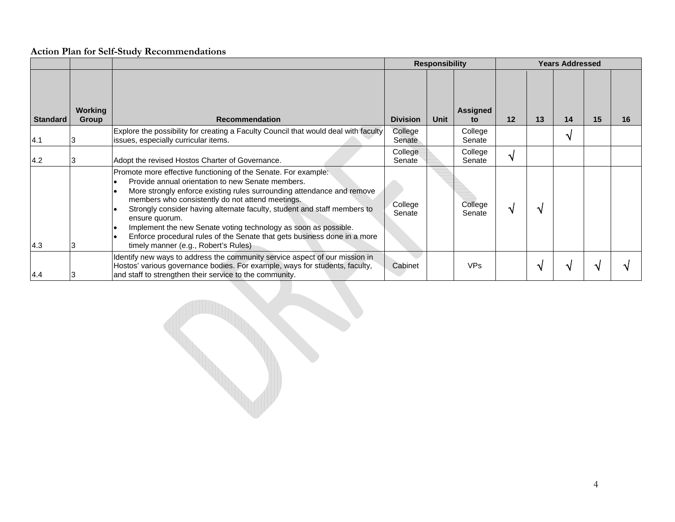|                 |                         |                                                                                                                                                                                                                                                                                                                                                                                                                                                                                                                                        |                   | <b>Responsibility</b> |                       |    |    | <b>Years Addressed</b> |    |    |
|-----------------|-------------------------|----------------------------------------------------------------------------------------------------------------------------------------------------------------------------------------------------------------------------------------------------------------------------------------------------------------------------------------------------------------------------------------------------------------------------------------------------------------------------------------------------------------------------------------|-------------------|-----------------------|-----------------------|----|----|------------------------|----|----|
| <b>Standard</b> | <b>Working</b><br>Group | <b>Recommendation</b>                                                                                                                                                                                                                                                                                                                                                                                                                                                                                                                  | <b>Division</b>   | Unit                  | <b>Assigned</b><br>to | 12 | 13 | 14                     | 15 | 16 |
| 4.1             |                         | Explore the possibility for creating a Faculty Council that would deal with faculty<br>issues, especially curricular items.                                                                                                                                                                                                                                                                                                                                                                                                            | College<br>Senate |                       | College<br>Senate     |    |    |                        |    |    |
| 4.2             |                         | Adopt the revised Hostos Charter of Governance.                                                                                                                                                                                                                                                                                                                                                                                                                                                                                        | College<br>Senate |                       | College<br>Senate     |    |    |                        |    |    |
| 4.3             |                         | Promote more effective functioning of the Senate. For example:<br>Provide annual orientation to new Senate members.<br>More strongly enforce existing rules surrounding attendance and remove<br>members who consistently do not attend meetings.<br>Strongly consider having alternate faculty, student and staff members to<br>ensure quorum.<br>Implement the new Senate voting technology as soon as possible.<br>Enforce procedural rules of the Senate that gets business done in a more<br>timely manner (e.g., Robert's Rules) | College<br>Senate |                       | College<br>Senate     |    |    |                        |    |    |
| 4.4             |                         | Identify new ways to address the community service aspect of our mission in<br>Hostos' various governance bodies. For example, ways for students, faculty,<br>and staff to strengthen their service to the community.                                                                                                                                                                                                                                                                                                                  | Cabinet           |                       | <b>VPs</b>            |    |    |                        |    |    |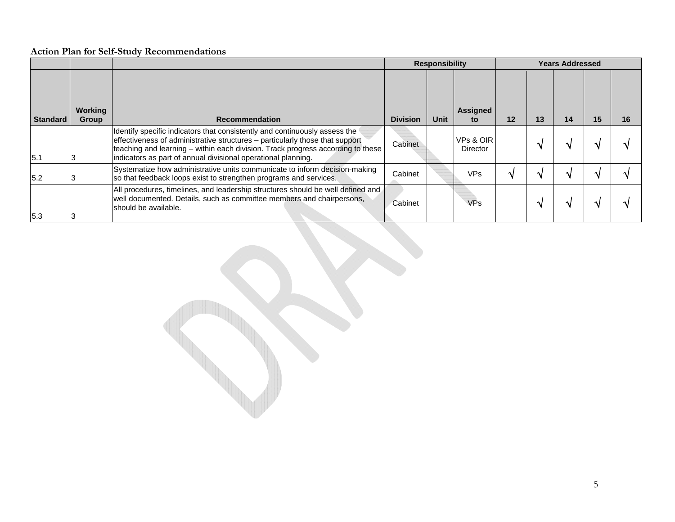|          |                  |                                                                                                                                                                                                                                                                                                                |                 | <b>Responsibility</b> |                              |         | <b>Years Addressed</b> |    |    |    |
|----------|------------------|----------------------------------------------------------------------------------------------------------------------------------------------------------------------------------------------------------------------------------------------------------------------------------------------------------------|-----------------|-----------------------|------------------------------|---------|------------------------|----|----|----|
| Standard | Working<br>Group | <b>Recommendation</b>                                                                                                                                                                                                                                                                                          | <b>Division</b> | <b>Unit</b>           | Assigned<br>to               | $12 \,$ | 13                     | 14 | 15 | 16 |
| 15.1     |                  | Identify specific indicators that consistently and continuously assess the<br>effectiveness of administrative structures – particularly those that support<br>teaching and learning – within each division. Track progress according to these<br>indicators as part of annual divisional operational planning. | Cabinet         |                       | VPs & OIR<br><b>Director</b> |         |                        |    |    |    |
| 5.2      |                  | Systematize how administrative units communicate to inform decision-making<br>so that feedback loops exist to strengthen programs and services.                                                                                                                                                                | Cabinet         |                       | VPs                          |         |                        |    |    |    |
| 5.3      |                  | All procedures, timelines, and leadership structures should be well defined and<br>well documented. Details, such as committee members and chairpersons,<br>should be available.                                                                                                                               | Cabinet         |                       | <b>VPs</b>                   |         |                        |    |    |    |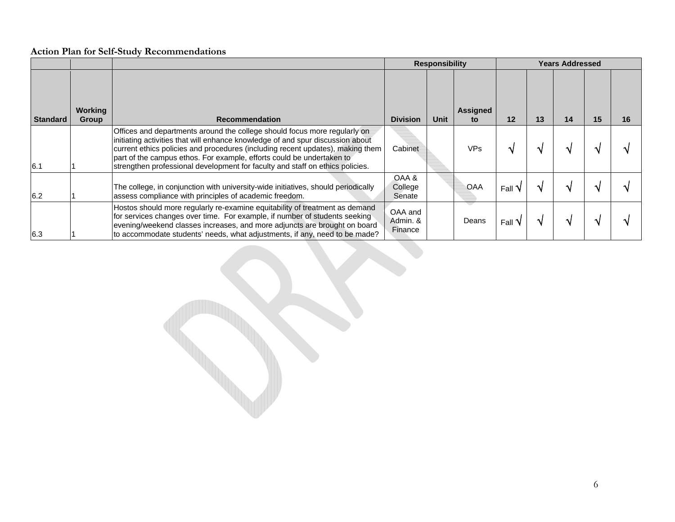|                 |                  |                                                                                                                                                                                                                                                                                                                                                                                                         |                                | <b>Responsibility</b> | <b>Years Addressed</b> |         |    |    |    |    |  |  |
|-----------------|------------------|---------------------------------------------------------------------------------------------------------------------------------------------------------------------------------------------------------------------------------------------------------------------------------------------------------------------------------------------------------------------------------------------------------|--------------------------------|-----------------------|------------------------|---------|----|----|----|----|--|--|
| <b>Standard</b> | Working<br>Group | <b>Recommendation</b>                                                                                                                                                                                                                                                                                                                                                                                   | <b>Division</b>                | Unit                  | <b>Assigned</b><br>to  | $12 \,$ | 13 | 14 | 15 | 16 |  |  |
| 6.1             |                  | Offices and departments around the college should focus more regularly on<br>initiating activities that will enhance knowledge of and spur discussion about<br>current ethics policies and procedures (including recent updates), making them<br>part of the campus ethos. For example, efforts could be undertaken to<br>strengthen professional development for faculty and staff on ethics policies. | Cabinet                        |                       | <b>VPs</b>             |         |    |    |    |    |  |  |
| 6.2             |                  | The college, in conjunction with university-wide initiatives, should periodically<br>assess compliance with principles of academic freedom.                                                                                                                                                                                                                                                             | OAA &<br>College<br>Senate     |                       | <b>OAA</b>             | Fall    |    |    |    |    |  |  |
| 6.3             |                  | Hostos should more regularly re-examine equitability of treatment as demand<br>for services changes over time. For example, if number of students seeking<br>evening/weekend classes increases, and more adjuncts are brought on board<br>to accommodate students' needs, what adjustments, if any, need to be made?                                                                                    | OAA and<br>Admin, &<br>Finance |                       | Deans                  | Fall    |    |    |    |    |  |  |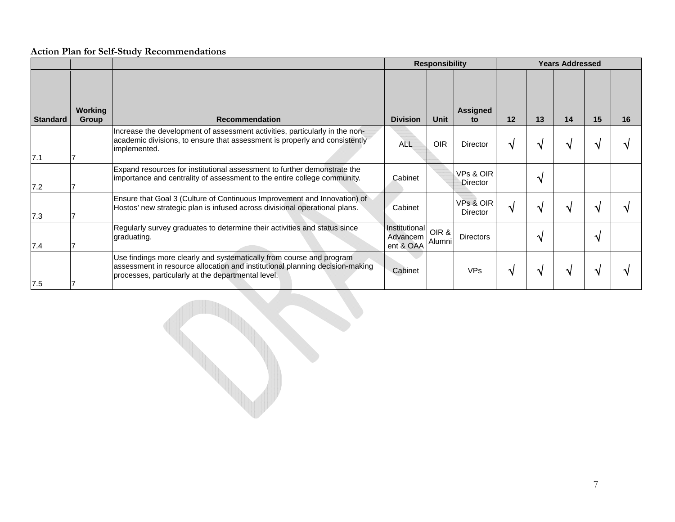|                 |                         |                                                                                                                                                                                                            |                                        | <b>Responsibility</b> |                              |    |    | <b>Years Addressed</b> |    |    |
|-----------------|-------------------------|------------------------------------------------------------------------------------------------------------------------------------------------------------------------------------------------------------|----------------------------------------|-----------------------|------------------------------|----|----|------------------------|----|----|
| <b>Standard</b> | <b>Working</b><br>Group | <b>Recommendation</b>                                                                                                                                                                                      | <b>Division</b>                        | <b>Unit</b>           | <b>Assigned</b><br>to        | 12 | 13 | 14                     | 15 | 16 |
| 7.1             |                         | Increase the development of assessment activities, particularly in the non-<br>academic divisions, to ensure that assessment is properly and consistently<br>implemented.                                  | <b>ALL</b>                             | <b>OIR</b>            | <b>Director</b>              |    |    |                        |    |    |
| 7.2             |                         | Expand resources for institutional assessment to further demonstrate the<br>importance and centrality of assessment to the entire college community.                                                       | Cabinet                                |                       | VPs & OIR<br>Director        |    |    |                        |    |    |
| 7.3             |                         | Ensure that Goal 3 (Culture of Continuous Improvement and Innovation) of<br>Hostos' new strategic plan is infused across divisional operational plans.                                                     | Cabinet                                |                       | VPs & OIR<br><b>Director</b> |    |    |                        |    |    |
| 7.4             |                         | Regularly survey graduates to determine their activities and status since<br>graduating.                                                                                                                   | Institutional<br>Advancem<br>ent & OAA | OIR &<br>Alumni       | <b>Directors</b>             |    |    |                        |    |    |
| 7.5             |                         | Use findings more clearly and systematically from course and program<br>assessment in resource allocation and institutional planning decision-making<br>processes, particularly at the departmental level. | Cabinet                                |                       | <b>VPs</b>                   |    |    |                        |    |    |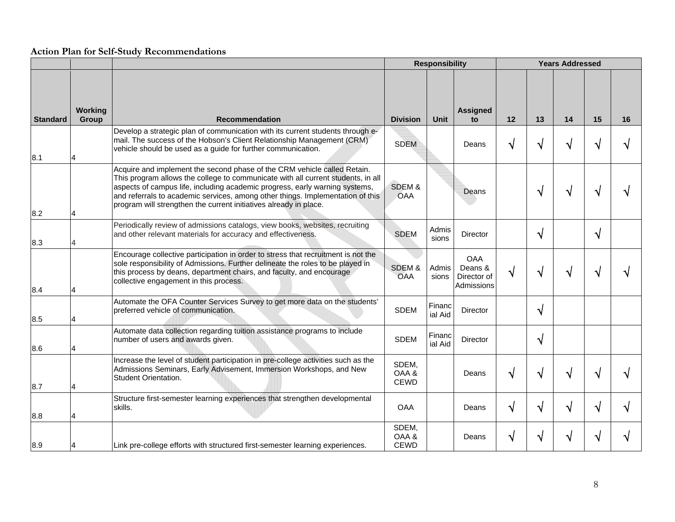|                 |                  |                                                                                                                                                                                                                                                                                                                                                                                                    | <b>Responsibility</b>         |                   |                                                    |    | <b>Years Addressed</b> |                    |                        |    |  |  |
|-----------------|------------------|----------------------------------------------------------------------------------------------------------------------------------------------------------------------------------------------------------------------------------------------------------------------------------------------------------------------------------------------------------------------------------------------------|-------------------------------|-------------------|----------------------------------------------------|----|------------------------|--------------------|------------------------|----|--|--|
| <b>Standard</b> | Working<br>Group | <b>Recommendation</b>                                                                                                                                                                                                                                                                                                                                                                              | <b>Division</b>               | <b>Unit</b>       | <b>Assigned</b><br>to                              | 12 | 13                     | 14                 | 15                     | 16 |  |  |
| 8.1             |                  | Develop a strategic plan of communication with its current students through e-<br>mail. The success of the Hobson's Client Relationship Management (CRM)<br>vehicle should be used as a guide for further communication.                                                                                                                                                                           | <b>SDEM</b>                   |                   | Deans                                              | N  | ٦                      | N                  |                        |    |  |  |
| 8.2             |                  | Acquire and implement the second phase of the CRM vehicle called Retain.<br>This program allows the college to communicate with all current students, in all<br>aspects of campus life, including academic progress, early warning systems,<br>and referrals to academic services, among other things. Implementation of this<br>program will strengthen the current initiatives already in place. | SDEM &<br>OAA                 |                   | Deans                                              |    | $\mathbf{\hat{N}}$     | $\mathbf{\hat{N}}$ |                        |    |  |  |
| 8.3             |                  | Periodically review of admissions catalogs, view books, websites, recruiting<br>and other relevant materials for accuracy and effectiveness.                                                                                                                                                                                                                                                       | <b>SDEM</b>                   | Admis<br>sions    | Director                                           |    | $\boldsymbol{\lambda}$ |                    | $\boldsymbol{\lambda}$ |    |  |  |
| 8.4             |                  | Encourage collective participation in order to stress that recruitment is not the<br>sole responsibility of Admissions. Further delineate the roles to be played in<br>this process by deans, department chairs, and faculty, and encourage<br>collective engagement in this process.                                                                                                              | SDEM &<br><b>OAA</b>          | Admis<br>sions    | <b>OAA</b><br>Deans &<br>Director of<br>Admissions | N  | N                      | N                  |                        |    |  |  |
| 8.5             |                  | Automate the OFA Counter Services Survey to get more data on the students'<br>preferred vehicle of communication.                                                                                                                                                                                                                                                                                  | <b>SDEM</b>                   | Financ<br>ial Aid | <b>Director</b>                                    |    | N                      |                    |                        |    |  |  |
| 8.6             |                  | Automate data collection regarding tuition assistance programs to include<br>number of users and awards given.                                                                                                                                                                                                                                                                                     | <b>SDEM</b>                   | Financ<br>ial Aid | <b>Director</b>                                    |    | N                      |                    |                        |    |  |  |
| 8.7             |                  | Increase the level of student participation in pre-college activities such as the<br>Admissions Seminars, Early Advisement, Immersion Workshops, and New<br>Student Orientation.                                                                                                                                                                                                                   | SDEM,<br>OAA &<br><b>CEWD</b> |                   | Deans                                              | N  | N                      | N                  |                        |    |  |  |
| 8.8             |                  | Structure first-semester learning experiences that strengthen developmental<br>skills.                                                                                                                                                                                                                                                                                                             | <b>OAA</b>                    |                   | Deans                                              | N  | N                      | N                  |                        |    |  |  |
| 8.9             |                  | Link pre-college efforts with structured first-semester learning experiences.                                                                                                                                                                                                                                                                                                                      | SDEM,<br>OAA &<br><b>CEWD</b> |                   | Deans                                              | N  |                        | V                  |                        |    |  |  |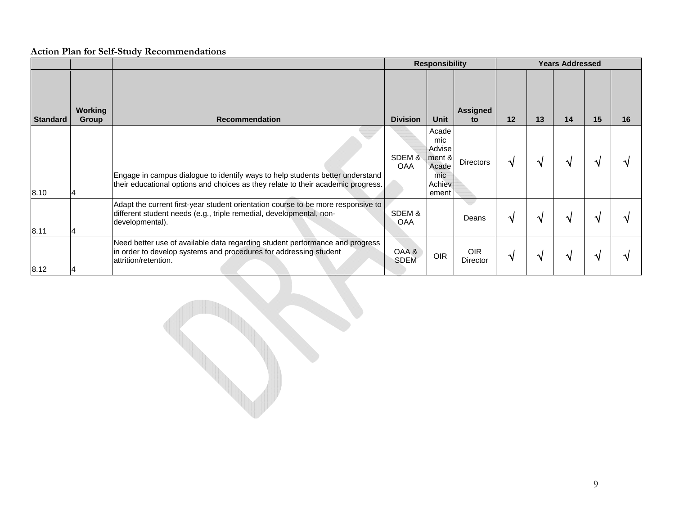|                 |                         |                                                                                                                                                                            |                      | <b>Responsibility</b>                                               |                        |    |    | <b>Years Addressed</b> |    |    |
|-----------------|-------------------------|----------------------------------------------------------------------------------------------------------------------------------------------------------------------------|----------------------|---------------------------------------------------------------------|------------------------|----|----|------------------------|----|----|
| <b>Standard</b> | Working<br><b>Group</b> | Recommendation                                                                                                                                                             | <b>Division</b>      | <b>Unit</b>                                                         | Assigned<br>to         | 12 | 13 | 14                     | 15 | 16 |
| 8.10            |                         | Engage in campus dialogue to identify ways to help students better understand<br>their educational options and choices as they relate to their academic progress.          | SDEM &<br><b>OAA</b> | Acade<br>mic<br>Advise<br>ment &<br>Acade<br>mic<br>Achiev<br>ement | Directors              |    |    |                        |    |    |
| 8.11            |                         | Adapt the current first-year student orientation course to be more responsive to<br>different student needs (e.g., triple remedial, developmental, non-<br>developmental). | SDEM &<br>OAA        |                                                                     | Deans                  |    |    |                        |    |    |
| 8.12            |                         | Need better use of available data regarding student performance and progress<br>in order to develop systems and procedures for addressing student<br>lattrition/retention. | OAA &<br><b>SDEM</b> | <b>OIR</b>                                                          | <b>OIR</b><br>Director |    |    | $\Delta$               |    |    |

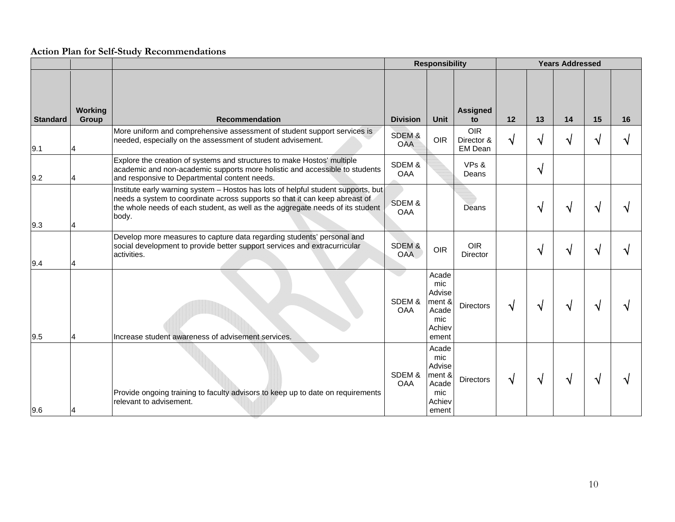|                 |                         |                                                                                                                                                                                                                                                             |                      | <b>Responsibility</b>                                               |                                     |    |    |    |    |    |
|-----------------|-------------------------|-------------------------------------------------------------------------------------------------------------------------------------------------------------------------------------------------------------------------------------------------------------|----------------------|---------------------------------------------------------------------|-------------------------------------|----|----|----|----|----|
| <b>Standard</b> | <b>Working</b><br>Group | <b>Recommendation</b>                                                                                                                                                                                                                                       | <b>Division</b>      | <b>Unit</b>                                                         | <b>Assigned</b><br>to               | 12 | 13 | 14 | 15 | 16 |
| 9.1             |                         | More uniform and comprehensive assessment of student support services is<br>needed, especially on the assessment of student advisement.                                                                                                                     | SDEM &<br><b>OAA</b> | <b>OIR</b>                                                          | <b>OIR</b><br>Director &<br>EM Dean |    | ٦  | N  |    |    |
| 9.2             |                         | Explore the creation of systems and structures to make Hostos' multiple<br>academic and non-academic supports more holistic and accessible to students<br>and responsive to Departmental content needs.                                                     | SDEM&<br><b>OAA</b>  |                                                                     | VPs &<br>Deans                      |    | N  |    |    |    |
| 9.3             |                         | Institute early warning system - Hostos has lots of helpful student supports, but<br>needs a system to coordinate across supports so that it can keep abreast of<br>the whole needs of each student, as well as the aggregate needs of its student<br>body. | SDEM &<br><b>OAA</b> |                                                                     | Deans                               |    | N  |    |    |    |
| 9.4             |                         | Develop more measures to capture data regarding students' personal and<br>social development to provide better support services and extracurricular<br>activities.                                                                                          | SDEM&<br><b>OAA</b>  | <b>OIR</b>                                                          | <b>OIR</b><br><b>Director</b>       |    |    |    |    |    |
| 9.5             |                         | Increase student awareness of advisement services.                                                                                                                                                                                                          | SDEM &<br><b>OAA</b> | Acade<br>mic<br>Advise<br>ment &<br>Acade<br>mic<br>Achiev<br>ement | Directors                           | N  | ٦  | N  |    |    |
| 9.6             |                         | Provide ongoing training to faculty advisors to keep up to date on requirements<br>relevant to advisement.                                                                                                                                                  | SDEM &<br><b>OAA</b> | Acade<br>mic<br>Advise<br>ment &<br>Acade<br>mic<br>Achiev<br>ement | Directors                           | N  | N  | N  |    |    |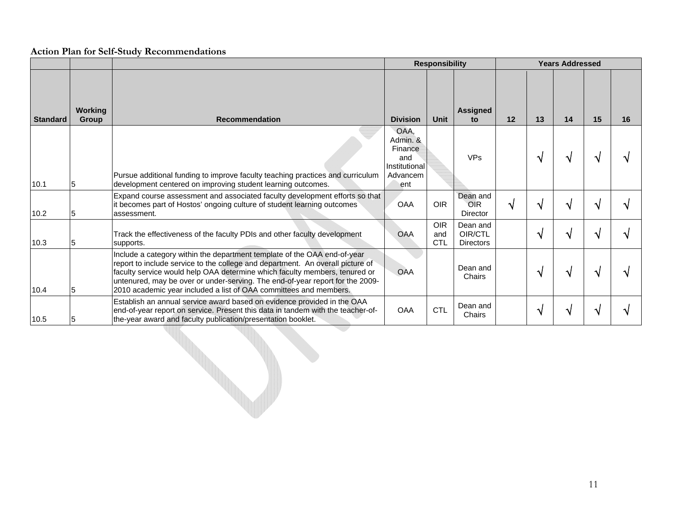|                 |                         |                                                                                                                                                                                                                                                                                                                                                                                                |                                                                        | <b>Responsibility</b>           | <b>Years Addressed</b>                  |          |              |              |    |    |
|-----------------|-------------------------|------------------------------------------------------------------------------------------------------------------------------------------------------------------------------------------------------------------------------------------------------------------------------------------------------------------------------------------------------------------------------------------------|------------------------------------------------------------------------|---------------------------------|-----------------------------------------|----------|--------------|--------------|----|----|
| <b>Standard</b> | Working<br><b>Group</b> | <b>Recommendation</b>                                                                                                                                                                                                                                                                                                                                                                          | <b>Division</b>                                                        | <b>Unit</b>                     | <b>Assigned</b><br>to                   | 12       | 13           | 14           | 15 | 16 |
| 10.1            |                         | Pursue additional funding to improve faculty teaching practices and curriculum<br>development centered on improving student learning outcomes.                                                                                                                                                                                                                                                 | OAA,<br>Admin, &<br>Finance<br>and<br>Institutional<br>Advancem<br>ent |                                 | <b>VPs</b>                              |          | $\mathbf{v}$ | $\mathbf{v}$ |    |    |
| 10.2            |                         | Expand course assessment and associated faculty development efforts so that<br>it becomes part of Hostos' ongoing culture of student learning outcomes<br>assessment.                                                                                                                                                                                                                          | <b>OAA</b>                                                             | <b>OIR</b>                      | Dean and<br><b>OIR</b><br>Director      | $\Delta$ | $\mathbf{v}$ | $\mathbf{v}$ |    |    |
| 10.3            | 5                       | Track the effectiveness of the faculty PDIs and other faculty development<br>supports.                                                                                                                                                                                                                                                                                                         | OAA                                                                    | <b>OIR</b><br>and<br><b>CTL</b> | Dean and<br>OIR/CTL<br><b>Directors</b> |          | $\mathbf{v}$ | $\Delta$     |    |    |
| 10.4            |                         | Include a category within the department template of the OAA end-of-year<br>report to include service to the college and department. An overall picture of<br>faculty service would help OAA determine which faculty members, tenured or<br>untenured, may be over or under-serving. The end-of-year report for the 2009-<br>2010 academic year included a list of OAA committees and members. | <b>OAA</b>                                                             |                                 | Dean and<br>Chairs                      |          | $\mathbf{v}$ | $\mathbf{v}$ |    |    |
| 10.5            |                         | Establish an annual service award based on evidence provided in the OAA<br>end-of-year report on service. Present this data in tandem with the teacher-of-<br>the-year award and faculty publication/presentation booklet.                                                                                                                                                                     | OAA                                                                    | <b>CTL</b>                      | Dean and<br>Chairs                      |          | $\mathbf{A}$ | ٠            |    |    |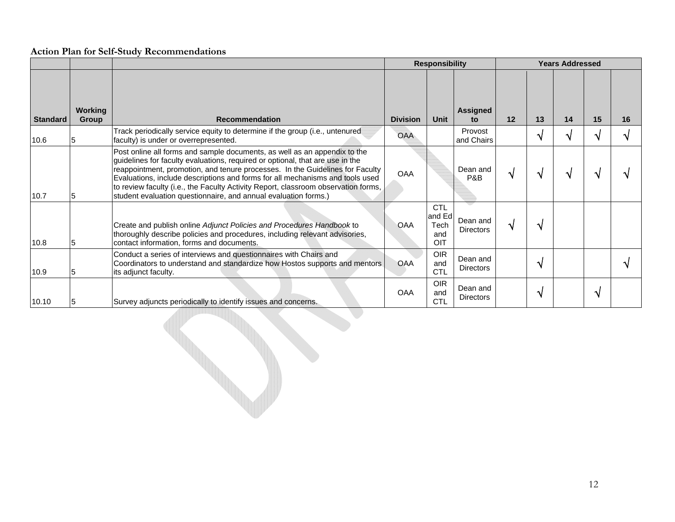|                 |                         |                                                                                                                                                                                                                                                                                                                                                                                                                                                                                                                                | <b>Responsibility</b>         |                                            |                                                | <b>Years Addressed</b> |              |                    |              |              |
|-----------------|-------------------------|--------------------------------------------------------------------------------------------------------------------------------------------------------------------------------------------------------------------------------------------------------------------------------------------------------------------------------------------------------------------------------------------------------------------------------------------------------------------------------------------------------------------------------|-------------------------------|--------------------------------------------|------------------------------------------------|------------------------|--------------|--------------------|--------------|--------------|
| <b>Standard</b> | <b>Working</b><br>Group | <b>Recommendation</b><br>Track periodically service equity to determine if the group (i.e., untenured                                                                                                                                                                                                                                                                                                                                                                                                                          | <b>Division</b><br><b>OAA</b> | Unit                                       | <b>Assigned</b><br>to<br>Provost<br>and Chairs | 12                     | 13<br>N      | 14<br>N            | 15<br>٦ι     | 16<br>ึ่ง    |
| 10.6<br>10.7    | 5<br>5                  | faculty) is under or overrepresented.<br>Post online all forms and sample documents, as well as an appendix to the<br>guidelines for faculty evaluations, required or optional, that are use in the<br>reappointment, promotion, and tenure processes. In the Guidelines for Faculty<br>Evaluations, include descriptions and forms for all mechanisms and tools used<br>to review faculty (i.e., the Faculty Activity Report, classroom observation forms,<br>student evaluation questionnaire, and annual evaluation forms.) | <b>OAA</b>                    |                                            | Dean and<br>P&B                                | $\mathbf{\hat{v}}$     | N            | $\mathbf{\hat{v}}$ |              |              |
| 10.8            | 5                       | Create and publish online Adjunct Policies and Procedures Handbook to<br>thoroughly describe policies and procedures, including relevant advisories,<br>contact information, forms and documents.                                                                                                                                                                                                                                                                                                                              | OAA                           | <b>CTL</b><br>and Ed<br>Tech<br>and<br>OIT | Dean and<br><b>Directors</b>                   | $\mathbf{\hat{N}}$     | $\mathbf{v}$ |                    |              |              |
| 10.9            | 5                       | Conduct a series of interviews and questionnaires with Chairs and<br>Coordinators to understand and standardize how Hostos supports and mentors<br>its adjunct faculty.                                                                                                                                                                                                                                                                                                                                                        | OAA                           | <b>OIR</b><br>and<br><b>CTL</b>            | Dean and<br><b>Directors</b>                   |                        | $\mathbf{v}$ |                    |              | $\mathbf{v}$ |
| 10.10           | 5                       | Survey adjuncts periodically to identify issues and concerns.                                                                                                                                                                                                                                                                                                                                                                                                                                                                  | <b>OAA</b>                    | <b>OIR</b><br>and<br><b>CTL</b>            | Dean and<br><b>Directors</b>                   |                        | N            |                    | $\mathbf{v}$ |              |
|                 |                         |                                                                                                                                                                                                                                                                                                                                                                                                                                                                                                                                |                               |                                            |                                                |                        |              |                    |              |              |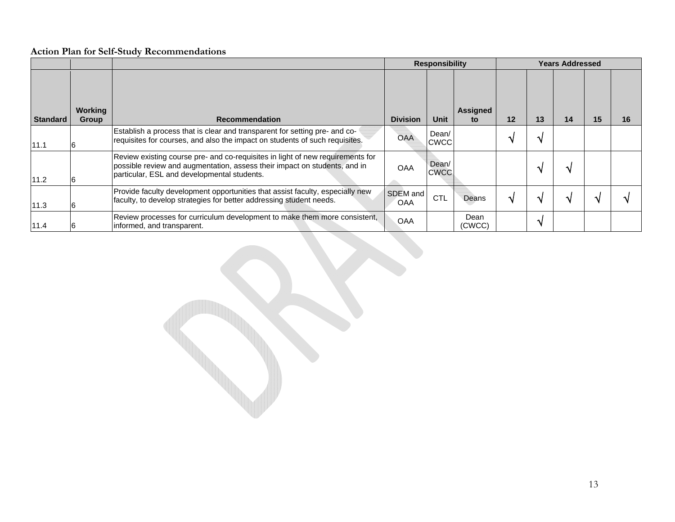|                 |                  |                                                                                                                                                                                                            | <b>Responsibility</b>  |                      |                | <b>Years Addressed</b> |    |    |    |    |  |  |
|-----------------|------------------|------------------------------------------------------------------------------------------------------------------------------------------------------------------------------------------------------------|------------------------|----------------------|----------------|------------------------|----|----|----|----|--|--|
| <b>Standard</b> | Working<br>Group | <b>Recommendation</b>                                                                                                                                                                                      | <b>Division</b>        | <b>Unit</b>          | Assigned<br>to | $12 \,$                | 13 | 14 | 15 | 16 |  |  |
| 11.1            |                  | Establish a process that is clear and transparent for setting pre- and co-<br>requisites for courses, and also the impact on students of such requisites.                                                  | <b>OAA</b>             | Dean/<br><b>CWCC</b> |                |                        |    |    |    |    |  |  |
| 11.2            |                  | Review existing course pre- and co-requisites in light of new requirements for<br>possible review and augmentation, assess their impact on students, and in<br>particular, ESL and developmental students. | <b>OAA</b>             | Dean/<br><b>CWCC</b> |                |                        |    | N  |    |    |  |  |
| 11.3            |                  | Provide faculty development opportunities that assist faculty, especially new<br>faculty, to develop strategies for better addressing student needs.                                                       | SDEM and<br><b>OAA</b> | <b>CTL</b>           | Deans          |                        |    |    |    |    |  |  |
| 11.4            |                  | Review processes for curriculum development to make them more consistent,<br>informed, and transparent.                                                                                                    | OAA                    |                      | Dean<br>(CWCC) |                        |    |    |    |    |  |  |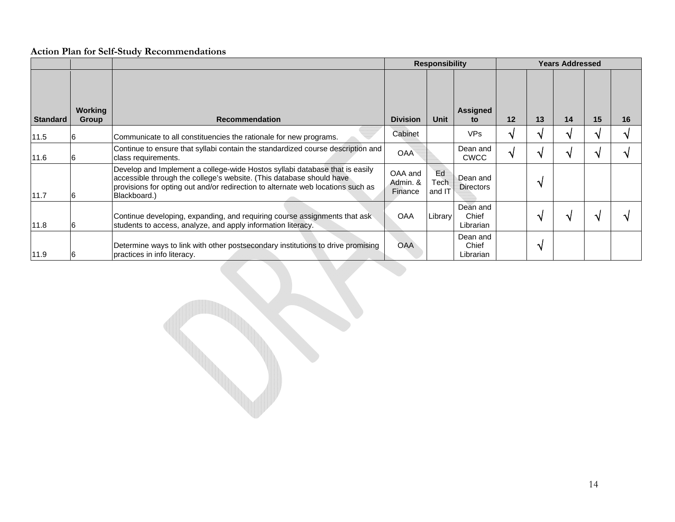|                 |                                |                                                                                                                                                                                                                                                        | <b>Responsibility</b>          | <b>Years Addressed</b> |                                |    |              |    |    |    |
|-----------------|--------------------------------|--------------------------------------------------------------------------------------------------------------------------------------------------------------------------------------------------------------------------------------------------------|--------------------------------|------------------------|--------------------------------|----|--------------|----|----|----|
| <b>Standard</b> | <b>Working</b><br><b>Group</b> | <b>Recommendation</b>                                                                                                                                                                                                                                  | <b>Division</b>                | <b>Unit</b>            | <b>Assigned</b><br>to          | 12 | 13           | 14 | 15 | 16 |
| 11.5            |                                | Communicate to all constituencies the rationale for new programs.                                                                                                                                                                                      | Cabinet                        |                        | VP <sub>s</sub>                |    |              |    |    |    |
| 11.6            |                                | Continue to ensure that syllabi contain the standardized course description and<br>class requirements.                                                                                                                                                 | <b>OAA</b>                     |                        | Dean and<br><b>CWCC</b>        |    |              |    |    |    |
| 11.7            |                                | Develop and Implement a college-wide Hostos syllabi database that is easily<br>accessible through the college's website. (This database should have<br>provisions for opting out and/or redirection to alternate web locations such as<br>Blackboard.) | OAA and<br>Admin. &<br>Finance | Ed<br>Tech<br>and IT   | Dean and<br><b>Directors</b>   |    |              |    |    |    |
| 11.8            |                                | Continue developing, expanding, and requiring course assignments that ask<br>students to access, analyze, and apply information literacy.                                                                                                              | <b>OAA</b>                     | Library                | Dean and<br>Chief<br>Librarian |    | ́            | A. |    |    |
| 11.9            |                                | Determine ways to link with other postsecondary institutions to drive promising<br>practices in info literacy.                                                                                                                                         | <b>OAA</b>                     |                        | Dean and<br>Chief<br>Librarian |    | $\mathbf{v}$ |    |    |    |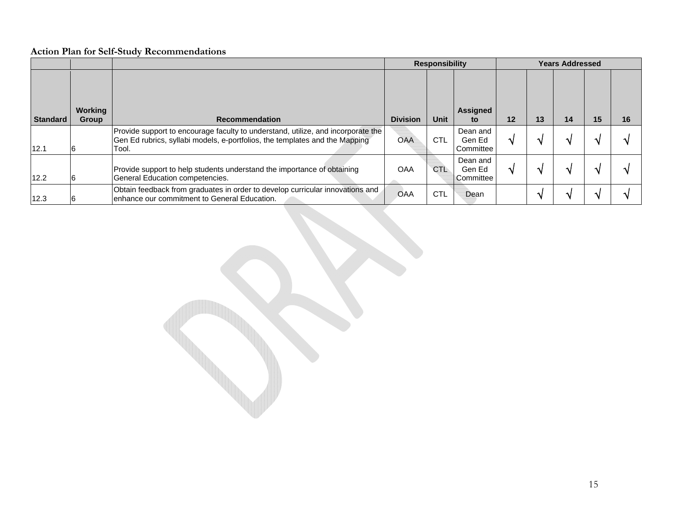|                 |                         |                                                                                                                                                                          | <b>Responsibility</b> |             |                                   | <b>Years Addressed</b> |    |    |    |    |  |  |
|-----------------|-------------------------|--------------------------------------------------------------------------------------------------------------------------------------------------------------------------|-----------------------|-------------|-----------------------------------|------------------------|----|----|----|----|--|--|
| <b>Standard</b> | <b>Working</b><br>Group | <b>Recommendation</b>                                                                                                                                                    | <b>Division</b>       | <b>Unit</b> | Assigned<br>to                    | 12                     | 13 | 14 | 15 | 16 |  |  |
| 12.1            |                         | Provide support to encourage faculty to understand, utilize, and incorporate the<br>Gen Ed rubrics, syllabi models, e-portfolios, the templates and the Mapping<br>Tool. | <b>OAA</b>            | <b>CTL</b>  | Dean and<br>Gen Ed<br>Committee   | $\Delta$               |    |    |    |    |  |  |
| 12.2            |                         | Provide support to help students understand the importance of obtaining<br>General Education competencies.                                                               | <b>OAA</b>            | CTL.        | Dean and<br>Gen Ed<br>l Committee |                        |    |    |    |    |  |  |
| 12.3            |                         | Obtain feedback from graduates in order to develop curricular innovations and<br>lenhance our commitment to General Education.                                           | OAA                   | <b>CTL</b>  | Dean                              |                        |    | ٨I |    |    |  |  |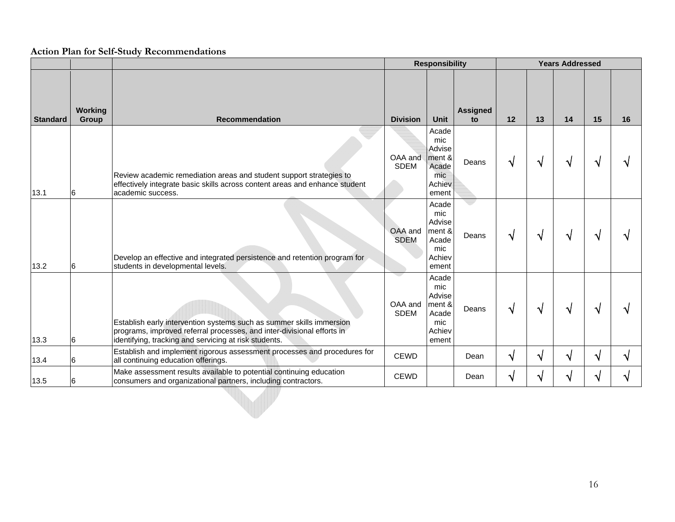|                 |                         |                                                                                                                                                                                                         | <b>Responsibility</b>  |                                                                     |                       | <b>Years Addressed</b> |    |              |    |    |  |  |
|-----------------|-------------------------|---------------------------------------------------------------------------------------------------------------------------------------------------------------------------------------------------------|------------------------|---------------------------------------------------------------------|-----------------------|------------------------|----|--------------|----|----|--|--|
| <b>Standard</b> | <b>Working</b><br>Group | <b>Recommendation</b>                                                                                                                                                                                   | <b>Division</b>        | <b>Unit</b>                                                         | <b>Assigned</b><br>to | 12                     | 13 | 14           | 15 | 16 |  |  |
| 13.1            | 6                       | Review academic remediation areas and student support strategies to<br>effectively integrate basic skills across content areas and enhance student<br>academic success.                                 | OAA and<br><b>SDEM</b> | Acade<br>mic<br>Advise<br>ment &<br>Acade<br>mic<br>Achiev<br>ement | Deans                 | V                      | ٦  | V            |    |    |  |  |
| 13.2            | 6                       | Develop an effective and integrated persistence and retention program for<br>students in developmental levels.                                                                                          | OAA and<br><b>SDEM</b> | Acade<br>mic<br>Advise<br>ment &<br>Acade<br>mic<br>Achiev<br>ement | Deans                 | V                      | ٦  | √            |    |    |  |  |
| 13.3            | 6                       | Establish early intervention systems such as summer skills immersion<br>programs, improved referral processes, and inter-divisional efforts in<br>identifying, tracking and servicing at risk students. | OAA and<br><b>SDEM</b> | Acade<br>mic<br>Advise<br>ment &<br>Acade<br>mic<br>Achiev<br>ement | Deans                 | V                      | ٦I | √            |    |    |  |  |
| 13.4            | 6                       | Establish and implement rigorous assessment processes and procedures for<br>all continuing education offerings.                                                                                         | <b>CEWD</b>            |                                                                     | Dean                  | V                      | ٦  | $\mathbf{v}$ |    |    |  |  |
| 13.5            | 6                       | Make assessment results available to potential continuing education<br>consumers and organizational partners, including contractors.                                                                    | <b>CEWD</b>            |                                                                     | Dean                  | V                      | ٦  | V            |    |    |  |  |